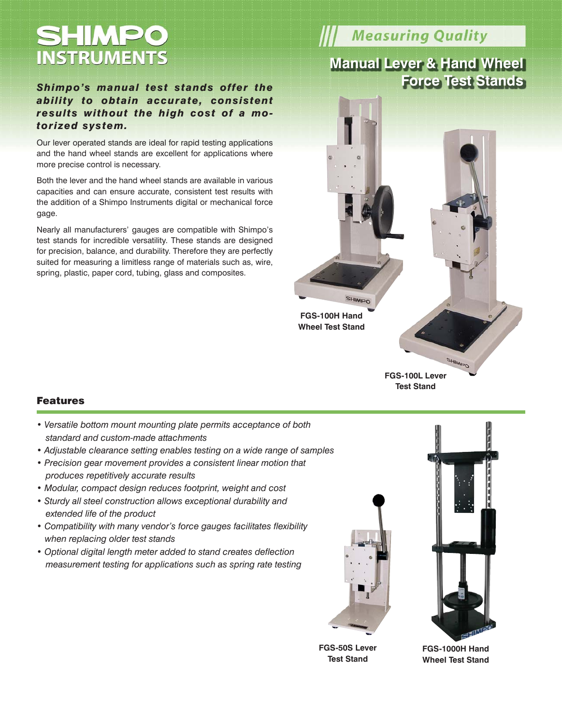# SHIMPO **INSTRUMENTS**

#### *Shimpo's manual test stands offer the ability to obtain accurate, consistent results without the high cost of a motorized system.*

Our lever operated stands are ideal for rapid testing applications and the hand wheel stands are excellent for applications where more precise control is necessary.

Both the lever and the hand wheel stands are available in various capacities and can ensure accurate, consistent test results with the addition of a Shimpo Instruments digital or mechanical force gage.

Nearly all manufacturers' gauges are compatible with Shimpo's test stands for incredible versatility. These stands are designed for precision, balance, and durability. Therefore they are perfectly suited for measuring a limitless range of materials such as, wire, spring, plastic, paper cord, tubing, glass and composites.

## **Measuring Quality**

### **Manual Lever & Hand Wheel Force Test Stands**



**Test Stand**

#### Features

- *Versatile bottom mount mounting plate permits acceptance of both standard and custom-made attachments*
- *Adjustable clearance setting enables testing on a wide range of samples*
- *Precision gear movement provides a consistent linear motion that produces repetitively accurate results*
- *Modular, compact design reduces footprint, weight and cost*
- *Sturdy all steel construction allows exceptional durability and extended life of the product*
- *Compatibility with many vendor's force gauges facilitates flexibility when replacing older test stands*
- *Optional digital length meter added to stand creates deflection measurement testing for applications such as spring rate testing*







**FGS-1000H Hand Wheel Test Stand**